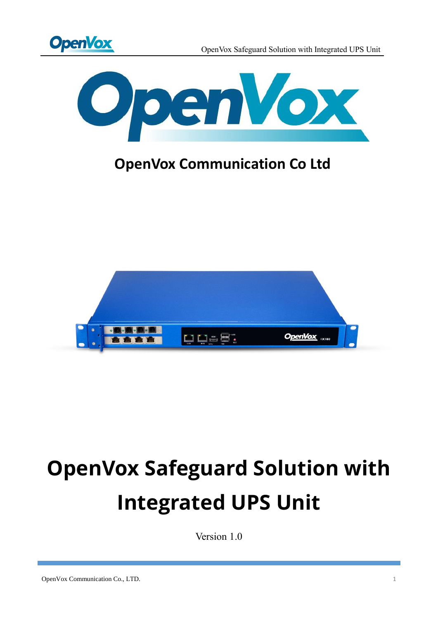



# **OpenVox Communication Co Ltd**



# **OpenVox Safeguard Solution with Integrated UPS Unit**

Version 1.0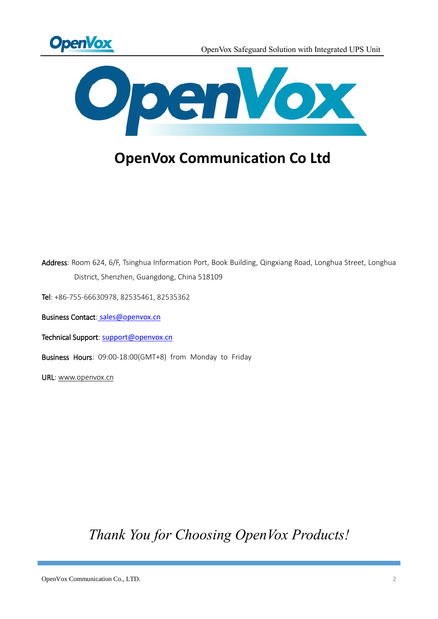



### **OpenVox Communication Co Ltd**

Address: Room 624, 6/F, Tsinghua Information Port, Book Building, Qingxiang Road, Longhua Street, Longhua District, Shenzhen, Guangdong, China 518109

Tel: +86-755-66630978, 82535461, 82535362

Business Contact: sales@openvox.cn

Technical Support: [support@openvox.cn](mailto:support@openvox.cn)

Business Hours: 09:00-18:00(GMT+8) from Monday to Friday

URL: www.openvox.cn

*Thank You for Choosing OpenVox Products!*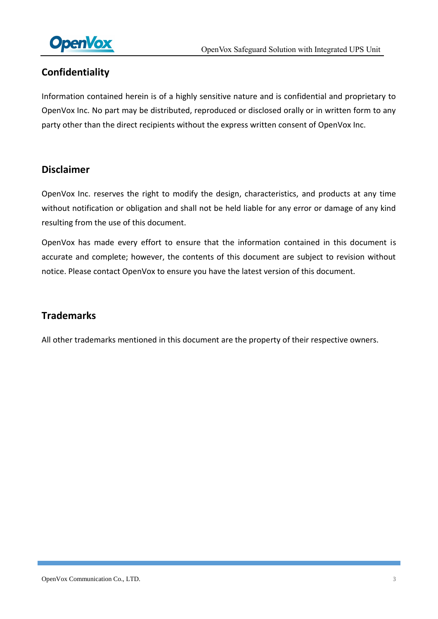

### **Confidentiality**

Information contained herein is of a highly sensitive nature and is confidential and proprietary to OpenVox Inc. No part may be distributed, reproduced or disclosed orally or in written form to any party other than the direct recipients without the express written consent of OpenVox Inc.

### **Disclaimer**

OpenVox Inc. reserves the right to modify the design, characteristics, and products at any time without notification or obligation and shall not be held liable for any error or damage of any kind resulting from the use of this document.

OpenVox has made every effort to ensure that the information contained in this document is accurate and complete; however, the contents of this document are subject to revision without notice. Please contact OpenVox to ensure you have the latest version of this document.

### **Trademarks**

All other trademarks mentioned in this document are the property of their respective owners.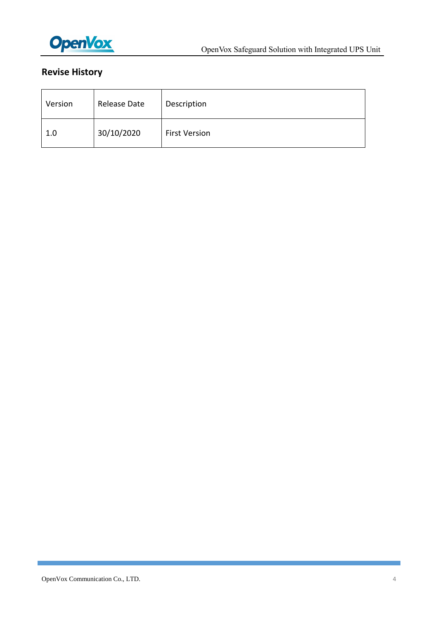

### **Revise History**

| Version | Release Date | Description          |
|---------|--------------|----------------------|
| 1.0     | 30/10/2020   | <b>First Version</b> |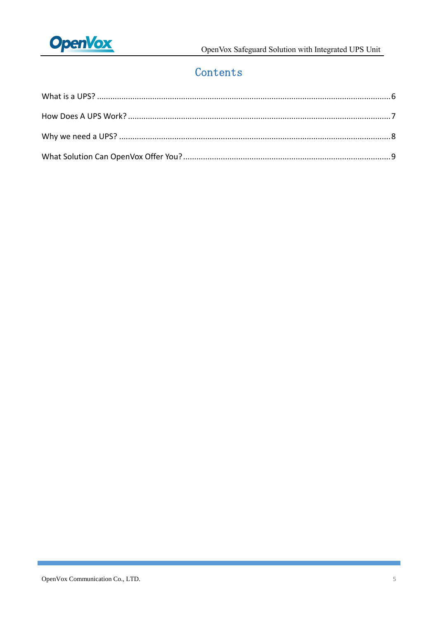

### Contents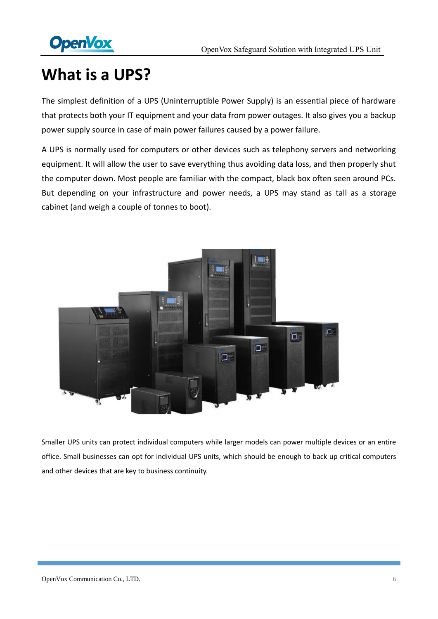

# <span id="page-5-0"></span>**What is a UPS?**

The simplest definition of a UPS (Uninterruptible Power Supply) is an essential piece of hardware that protects both your IT equipment and your data from power outages. It also gives you a backup power supply source in case of main power failures caused by a power failure.

A UPS is normally used for computers or other devices such as telephony servers and networking equipment. It will allow the user to save everything thus avoiding data loss, and then properly shut the computer down. Most people are familiar with the compact, black box often seen around PCs. But depending on your infrastructure and power needs, a UPS may stand as tall as a storage cabinet (and weigh a couple of tonnes to boot).



Smaller UPS units can protect individual computers while larger models can power multiple devices or an entire office. Small businesses can opt for individual UPS units, which should be enough to back up critical computers and other devices that are key to business continuity.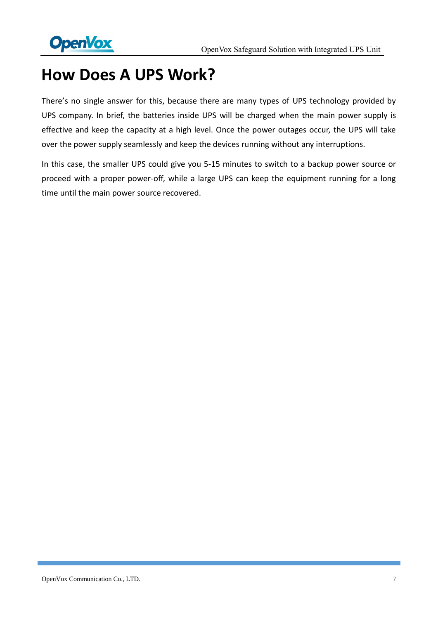

## <span id="page-6-0"></span>**How Does A UPS Work?**

There's no single answer for this, because there are many types of UPS technology provided by UPS company. In brief, the batteries inside UPS will be charged when the main power supply is effective and keep the capacity at a high level. Once the power outages occur, the UPS will take over the power supply seamlessly and keep the devices running without any interruptions.

In this case, the smaller UPS could give you 5-15 minutes to switch to a backup power source or proceed with a proper power-off, while a large UPS can keep the equipment running for a long time until the main power source recovered.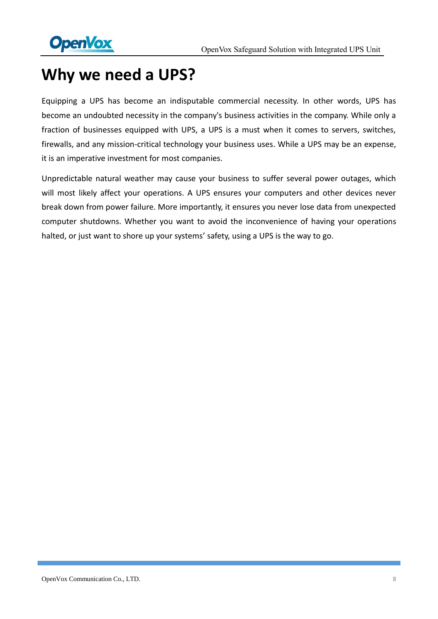

# <span id="page-7-0"></span>**Why we need a UPS?**

Equipping a UPS has become an indisputable commercial necessity. In other words, UPS has become an undoubted necessity in the company's business activities in the company. While only a fraction of businesses equipped with UPS, a UPS is a must when it comes to servers, switches, firewalls, and any mission-critical technology your business uses. While a UPS may be an expense, it is an imperative investment for most companies.

Unpredictable natural weather may cause your business to suffer several power outages, which will most likely affect your operations. A UPS ensures your computers and other devices never break down from power failure. More importantly, it ensures you never lose data from unexpected computer shutdowns. Whether you want to avoid the inconvenience of having your operations halted, or just want to shore up your systems' safety, using a UPS is the way to go.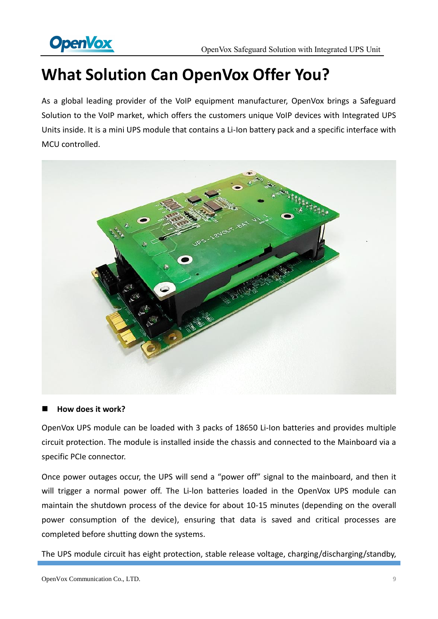

# <span id="page-8-0"></span>**What Solution Can OpenVox Offer You?**

As a global leading provider of the VoIP equipment manufacturer, OpenVox brings a Safeguard Solution to the VoIP market, which offers the customers unique VoIP devices with Integrated UPS Units inside. It is a mini UPS module that contains a Li-Ion battery pack and a specific interface with MCU controlled.



#### ■ How does it work?

OpenVox UPS module can be loaded with 3 packs of 18650 Li-Ion batteries and provides multiple circuit protection. The module is installed inside the chassis and connected to the Mainboard via a specific PCIe connector.

Once power outages occur, the UPS will send a "power off" signal to the mainboard, and then it will trigger a normal power off. The Li-lon batteries loaded in the OpenVox UPS module can maintain the shutdown process of the device for about 10-15 minutes (depending on the overall power consumption of the device), ensuring that data is saved and critical processes are completed before shutting down the systems.

The UPS module circuit has eight protection, stable release voltage, charging/discharging/standby,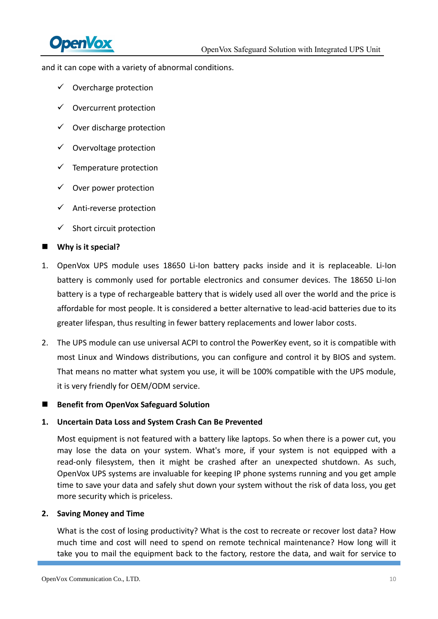

and it can cope with a variety of abnormal conditions.

- $\checkmark$  Overcharge protection
- $\checkmark$  Overcurrent protection
- $\checkmark$  Over discharge protection
- $\checkmark$  Overvoltage protection
- $\checkmark$  Temperature protection
- $\checkmark$  Over power protection
- $\checkmark$  Anti-reverse protection
- $\checkmark$  Short circuit protection

#### ■ Why is it special?

- 1. OpenVox UPS module uses 18650 Li-Ion battery packs inside and it is replaceable. Li-Ion battery is commonly used for portable electronics and consumer devices. The 18650 Li-Ion battery is a type of rechargeable battery that is widely used all over the world and the price is affordable for most people. It is considered a better alternative to lead-acid batteries due to its greater lifespan, thus resulting in fewer battery replacements and lower labor costs.
- 2. The UPS module can use universal ACPI to control the PowerKey event, so it is compatible with most Linux and Windows distributions, you can configure and control it by BIOS and system. That means no matter what system you use, it will be 100% compatible with the UPS module, it is very friendly for OEM/ODM service.

#### ■ Benefit from OpenVox Safeguard Solution

#### **1. Uncertain Data Loss and System Crash Can Be Prevented**

Most equipment is not featured with a battery like laptops. So when there is a power cut, you may lose the data on your system. What's more, if your system is not equipped with a read-only filesystem, then it might be crashed after an unexpected shutdown. As such, OpenVox UPS systems are invaluable for keeping IP phone systems running and you get ample time to save your data and safely shut down your system without the risk of data loss, you get more security which is priceless.

#### **2. Saving Money and Time**

What is the cost of losing productivity? What is the cost to recreate or recover lost data? How much time and cost will need to spend on remote technical maintenance? How long will it take you to mail the equipment back to the factory, restore the data, and wait for service to